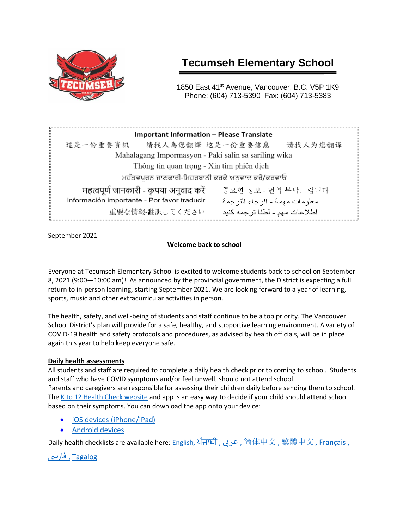

# **Tecumseh Elementary School**

1850 East 41<sup>st</sup> Avenue, Vancouver, B.C. V5P 1K9 Phone: (604) 713-5390 Fax: (604) 713-5383

| <b>Important Information - Please Translate</b>                                 |  |
|---------------------------------------------------------------------------------|--|
| 這是一份重要資訊 - 請找人為您翻譯 这是一份重要信息 - 请找人为您翻译                                           |  |
| Mahalagang Impormasyon - Paki salin sa sariling wika                            |  |
| Thông tin quan trọng - Xin tìm phiên dịch                                       |  |
| ਮਹੱਤਵਪੂਰਨ ਜਾਣਕਾਰੀ-ਮਿਹਰਬਾਨੀ ਕਰਕੇ ਅਨੁਵਾਦ ਕਰੋ/ਕਰਵਾਓ                                |  |
| महत्वपूर्ण जानकारी - कृपया अनुवाद करें<br>중요한 정보 - 번역 부탁드립니다                    |  |
| Información importante - Por favor traducir<br>معلو مات مهمة - الر جاء التر جمة |  |
| 重要な情報-翻訳してください<br>اطلاعات مهم ـ لطفا ترجمه كنيد                                 |  |

September 2021

# **Welcome back to school**

Everyone at Tecumseh Elementary School is excited to welcome students back to school on September 8, 2021 (9:00—10:00 am)!As announced by the provincial government, the District is expecting a full return to in-person learning, starting September 2021. We are looking forward to a year of learning, sports, music and other extracurricular activities in person.

The health, safety, and well-being of students and staff continue to be a top priority. The Vancouver School District's plan will provide for a safe, healthy, and supportive learning environment. A variety of COVID-19 health and safety protocols and procedures, as advised by health officials, will be in place again this year to help keep everyone safe.

# **Daily health assessments**

All students and staff are required to complete a daily health check prior to coming to school. Students and staff who have COVID symptoms and/or feel unwell, should not attend school. Parents and caregivers are responsible for assessing their children daily before sending them to school. The [K to 12 Health Check website](https://www.k12dailycheck.gov.bc.ca/) and app is an easy way to decide if your child should attend school based on their symptoms. You can download the app onto your device:

- [iOS devices \(iPhone/iPad\)](https://apps.apple.com/us/app/bc-k-12-daily-health-checker/id1547334827)
- [Android devices](https://play.google.com/store/apps/details?id=com.qp.k12App)

Daily health checklists are available here: <u>English, [ਪੰਜਾਬੀ](https://www2.gov.bc.ca/assets/gov/education/kindergarten-to-grade-12/covid/daily-health-check-punjabi.pdf) [,](https://www2.gov.bc.ca/assets/gov/education/kindergarten-to-grade-12/covid/daily-health-check-chinese-traditional.pdf) [عر](https://www2.gov.bc.ca/assets/gov/education/kindergarten-to-grade-12/covid/daily-health-check-arabic.pdf)بی 简[体中文](https://www2.gov.bc.ca/assets/gov/education/kindergarten-to-grade-12/covid/daily-health-check-chinese-simplified.pdf) , [繁體中文](https://www2.gov.bc.ca/assets/gov/education/kindergarten-to-grade-12/covid/daily-health-check-chinese-traditional.pdf) , [Français ,](https://www2.gov.bc.ca/assets/gov/education/kindergarten-to-grade-12/covid/daily-health-check-french.pdf)</u>

 [Tagalog](https://www2.gov.bc.ca/assets/gov/education/kindergarten-to-grade-12/covid/daily-health-check-tagalog.pdf) [,](https://www2.gov.bc.ca/assets/gov/education/kindergarten-to-grade-12/covid/daily-health-check-farsi.pdf) [فاریس](https://www2.gov.bc.ca/assets/gov/education/kindergarten-to-grade-12/covid/daily-health-check-farsi.pdf)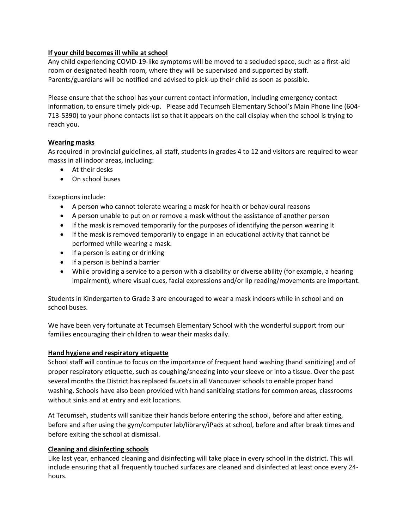## **If your child becomes ill while at school**

Any child experiencing COVID-19-like symptoms will be moved to a secluded space, such as a first-aid room or designated health room, where they will be supervised and supported by staff. Parents/guardians will be notified and advised to pick-up their child as soon as possible.

Please ensure that the school has your current contact information, including emergency contact information, to ensure timely pick-up. Please add Tecumseh Elementary School's Main Phone line (604- 713-5390) to your phone contacts list so that it appears on the call display when the school is trying to reach you.

## **Wearing masks**

As required in provincial guidelines, all staff, students in grades 4 to 12 and visitors are required to wear masks in all indoor areas, including:

- At their desks
- On school buses

Exceptions include:

- A person who cannot tolerate wearing a mask for health or behavioural reasons
- A person unable to put on or remove a mask without the assistance of another person
- If the mask is removed temporarily for the purposes of identifying the person wearing it
- If the mask is removed temporarily to engage in an educational activity that cannot be performed while wearing a mask.
- If a person is eating or drinking
- If a person is behind a barrier
- While providing a service to a person with a disability or diverse ability (for example, a hearing impairment), where visual cues, facial expressions and/or lip reading/movements are important.

Students in Kindergarten to Grade 3 are encouraged to wear a mask indoors while in school and on school buses.

We have been very fortunate at Tecumseh Elementary School with the wonderful support from our families encouraging their children to wear their masks daily.

## **Hand hygiene and respiratory etiquette**

School staff will continue to focus on the importance of frequent hand washing (hand sanitizing) and of proper respiratory etiquette, such as coughing/sneezing into your sleeve or into a tissue. Over the past several months the District has replaced faucets in all Vancouver schools to enable proper hand washing. Schools have also been provided with hand sanitizing stations for common areas, classrooms without sinks and at entry and exit locations.

At Tecumseh, students will sanitize their hands before entering the school, before and after eating, before and after using the gym/computer lab/library/iPads at school, before and after break times and before exiting the school at dismissal.

## **Cleaning and disinfecting schools**

Like last year, enhanced cleaning and disinfecting will take place in every school in the district. This will include ensuring that all frequently touched surfaces are cleaned and disinfected at least once every 24 hours.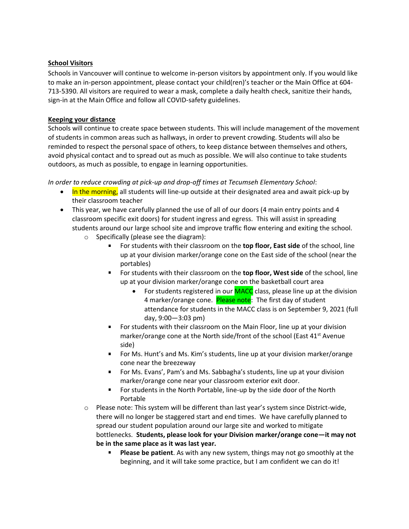## **School Visitors**

Schools in Vancouver will continue to welcome in-person visitors by appointment only. If you would like to make an in-person appointment, please contact your child(ren)'s teacher or the Main Office at 604- 713-5390. All visitors are required to wear a mask, complete a daily health check, sanitize their hands, sign-in at the Main Office and follow all COVID-safety guidelines.

## **Keeping your distance**

Schools will continue to create space between students. This will include management of the movement of students in common areas such as hallways, in order to prevent crowding. Students will also be reminded to respect the personal space of others, to keep distance between themselves and others, avoid physical contact and to spread out as much as possible. We will also continue to take students outdoors, as much as possible, to engage in learning opportunities.

*In order to reduce crowding at pick-up and drop-off times at Tecumseh Elementary School*:

- In the morning, all students will line-up outside at their designated area and await pick-up by their classroom teacher
- This year, we have carefully planned the use of all of our doors (4 main entry points and 4 classroom specific exit doors) for student ingress and egress. This will assist in spreading students around our large school site and improve traffic flow entering and exiting the school.
	- o Specifically (please see the diagram):
		- For students with their classroom on the **top floor, East side** of the school, line up at your division marker/orange cone on the East side of the school (near the portables)
		- For students with their classroom on the **top floor, West side** of the school, line up at your division marker/orange cone on the basketball court area
			- For students registered in our **MACC** class, please line up at the division 4 marker/orange cone. Please note: The first day of student attendance for students in the MACC class is on September 9, 2021 (full day, 9:00—3:03 pm)
		- **Fig.** For students with their classroom on the Main Floor, line up at your division marker/orange cone at the North side/front of the school (East  $41<sup>st</sup>$  Avenue side)
		- For Ms. Hunt's and Ms. Kim's students, line up at your division marker/orange cone near the breezeway
		- For Ms. Evans', Pam's and Ms. Sabbagha's students, line up at your division marker/orange cone near your classroom exterior exit door.
		- For students in the North Portable, line-up by the side door of the North Portable
	- o Please note: This system will be different than last year's system since District-wide, there will no longer be staggered start and end times. We have carefully planned to spread our student population around our large site and worked to mitigate bottlenecks. **Students, please look for your Division marker/orange cone—it may not be in the same place as it was last year.**
		- **Please be patient**. As with any new system, things may not go smoothly at the beginning, and it will take some practice, but I am confident we can do it!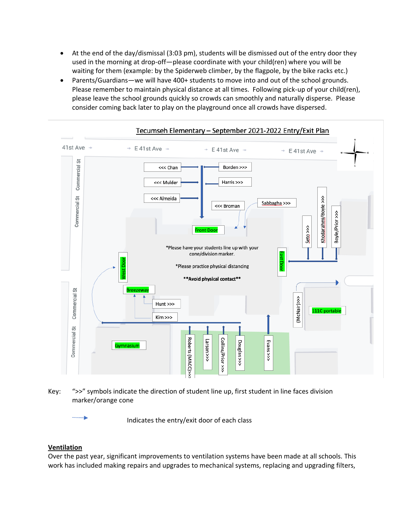- At the end of the day/dismissal (3:03 pm), students will be dismissed out of the entry door they used in the morning at drop-off—please coordinate with your child(ren) where you will be waiting for them (example: by the Spiderweb climber, by the flagpole, by the bike racks etc.)
- Parents/Guardians—we will have 400+ students to move into and out of the school grounds. Please remember to maintain physical distance at all times. Following pick-up of your child(ren), please leave the school grounds quickly so crowds can smoothly and naturally disperse. Please consider coming back later to play on the playground once all crowds have dispersed.



Key: ">>" symbols indicate the direction of student line up, first student in line faces division marker/orange cone

Indicates the entry/exit door of each class

## **Ventilation**

Over the past year, significant improvements to ventilation systems have been made at all schools. This work has included making repairs and upgrades to mechanical systems, replacing and upgrading filters,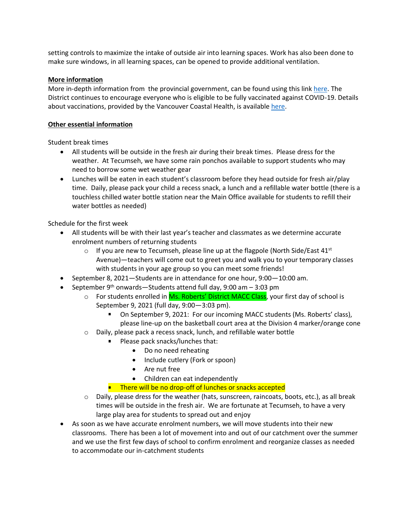setting controls to maximize the intake of outside air into learning spaces. Work has also been done to make sure windows, in all learning spaces, can be opened to provide additional ventilation.

## **More information**

More in-depth information from the provincial government, can be found using this link [here.](https://www2.gov.bc.ca/gov/content/education-training/k-12/covid-19-safe-schools) The District continues to encourage everyone who is eligible to be fully vaccinated against COVID-19. Details about vaccinations, provided by the Vancouver Coastal Health, is available [here.](http://www.vch.ca/covid-19/covid-19-vaccine)

#### **Other essential information**

Student break times

- All students will be outside in the fresh air during their break times. Please dress for the weather. At Tecumseh, we have some rain ponchos available to support students who may need to borrow some wet weather gear
- Lunches will be eaten in each student's classroom before they head outside for fresh air/play time. Daily, please pack your child a recess snack, a lunch and a refillable water bottle (there is a touchless chilled water bottle station near the Main Office available for students to refill their water bottles as needed)

Schedule for the first week

- All students will be with their last year's teacher and classmates as we determine accurate enrolment numbers of returning students
	- $\circ$  If you are new to Tecumseh, please line up at the flagpole (North Side/East 41st Avenue)—teachers will come out to greet you and walk you to your temporary classes with students in your age group so you can meet some friends!
- September 8, 2021—Students are in attendance for one hour, 9:00—10:00 am.
- September  $9<sup>th</sup>$  onwards—Students attend full day, 9:00 am  $-$  3:03 pm
	- o For students enrolled in Ms. Roberts' District MACC Class, your first day of school is September 9, 2021 (full day, 9:00—3:03 pm).
		- On September 9, 2021: For our incoming MACC students (Ms. Roberts' class), please line-up on the basketball court area at the Division 4 marker/orange cone
	- o Daily, please pack a recess snack, lunch, and refillable water bottle
		- Please pack snacks/lunches that:
			- Do no need reheating
			- Include cutlery (Fork or spoon)
			- Are nut free
			- Children can eat independently
		- **There will be no drop-off of lunches or snacks accepted**
	- o Daily, please dress for the weather (hats, sunscreen, raincoats, boots, etc.), as all break times will be outside in the fresh air. We are fortunate at Tecumseh, to have a very large play area for students to spread out and enjoy
- As soon as we have accurate enrolment numbers, we will move students into their new classrooms. There has been a lot of movement into and out of our catchment over the summer and we use the first few days of school to confirm enrolment and reorganize classes as needed to accommodate our in-catchment students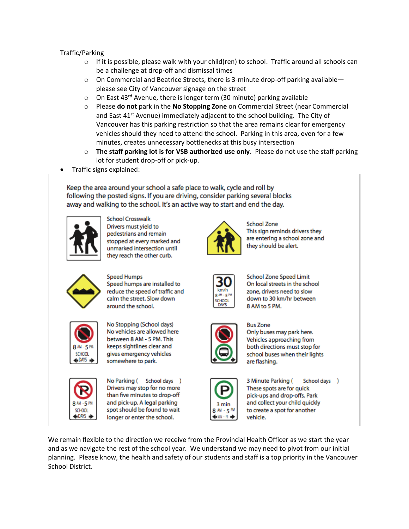# Traffic/Parking

- $\circ$  If it is possible, please walk with your child(ren) to school. Traffic around all schools can be a challenge at drop-off and dismissal times
- $\circ$  On Commercial and Beatrice Streets, there is 3-minute drop-off parking available please see City of Vancouver signage on the street
- $\circ$  On East 43<sup>rd</sup> Avenue, there is longer term (30 minute) parking available
- o Please **do not** park in the **No Stopping Zone** on Commercial Street (near Commercial and East  $41<sup>st</sup>$  Avenue) immediately adjacent to the school building. The City of Vancouver has this parking restriction so that the area remains clear for emergency vehicles should they need to attend the school. Parking in this area, even for a few minutes, creates unnecessary bottlenecks at this busy intersection
- o **The staff parking lot is for VSB authorized use only**. Please do not use the staff parking lot for student drop-off or pick-up.
- Traffic signs explained:

Keep the area around your school a safe place to walk, cycle and roll by following the posted signs. If you are driving, consider parking several blocks away and walking to the school. It's an active way to start and end the day.



**School Crosswalk** Drivers must yield to pedestrians and remain stopped at every marked and unmarked intersection until they reach the other curb.



**School Zone** This sign reminds drivers they are entering a school zone and they should be alert.



**Speed Humps** Speed humps are installed to reduce the speed of traffic and calm the street. Slow down around the school.



No Stopping (School days) No vehicles are allowed here between 8 AM - 5 PM. This keeps sightlines clear and gives emergency vehicles somewhere to park.



No Parking ( School days ) Drivers may stop for no more than five minutes to drop-off and pick-up. A legal parking spot should be found to wait longer or enter the school.



**School Zone Speed Limit** On local streets in the school zone, drivers need to slow down to 30 km/hr between 8 AM to 5 PM.



**Bus Zone** Only buses may park here. Vehicles approaching from both directions must stop for school buses when their lights are flashing.



3 Minute Parking ( School days ) These spots are for quick pick-ups and drop-offs. Park and collect your child quickly to create a spot for another vehicle.

We remain flexible to the direction we receive from the Provincial Health Officer as we start the year and as we navigate the rest of the school year. We understand we may need to pivot from our initial planning. Please know, the health and safety of our students and staff is a top priority in the Vancouver School District.